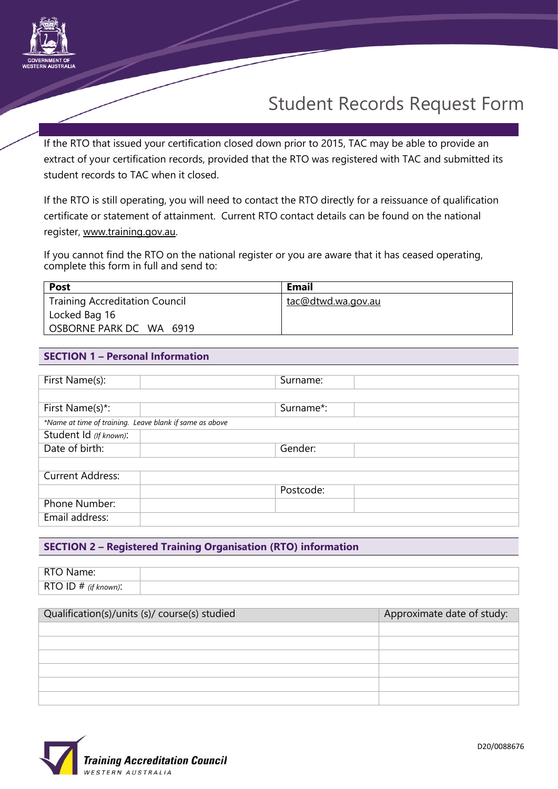

If the RTO that issued your certification closed down prior to 2015, TAC may be able to provide an extract of your certification records, provided that the RTO was registered with TAC and submitted its student records to TAC when it closed.

If the RTO is still operating, you will need to contact the RTO directly for a reissuance of qualification certificate or statement of attainment. Current RTO contact details can be found on the national register, [www.training.gov.au.](http://www.training.gov.au/) 

If you cannot find the RTO on the national register or you are aware that it has ceased operating, complete this form in full and send to:

| <b>Post</b>                           | Email              |
|---------------------------------------|--------------------|
| <b>Training Accreditation Council</b> | tac@dtwd.wa.gov.au |
| Locked Bag 16                         |                    |
| OSBORNE PARK DC WA 6919               |                    |

### **SECTION 1 – Personal Information**

| First Name(s):                                          | Surname:  |  |  |  |
|---------------------------------------------------------|-----------|--|--|--|
|                                                         |           |  |  |  |
| First Name(s)*:                                         | Surname*: |  |  |  |
| *Name at time of training. Leave blank if same as above |           |  |  |  |
| Student Id (If known):                                  |           |  |  |  |
| Date of birth:                                          | Gender:   |  |  |  |
|                                                         |           |  |  |  |
| <b>Current Address:</b>                                 |           |  |  |  |
|                                                         | Postcode: |  |  |  |
| Phone Number:                                           |           |  |  |  |
| Email address:                                          |           |  |  |  |

## **SECTION 2 – Registered Training Organisation (RTO) information**

| Name:                                                    |  |
|----------------------------------------------------------|--|
| RTO ID#<br>$\ddot{\phantom{0}}$<br>$\cdots$<br>· known). |  |

| Qualification(s)/units (s)/ course(s) studied | Approximate date of study: |
|-----------------------------------------------|----------------------------|
|                                               |                            |
|                                               |                            |
|                                               |                            |
|                                               |                            |
|                                               |                            |
|                                               |                            |